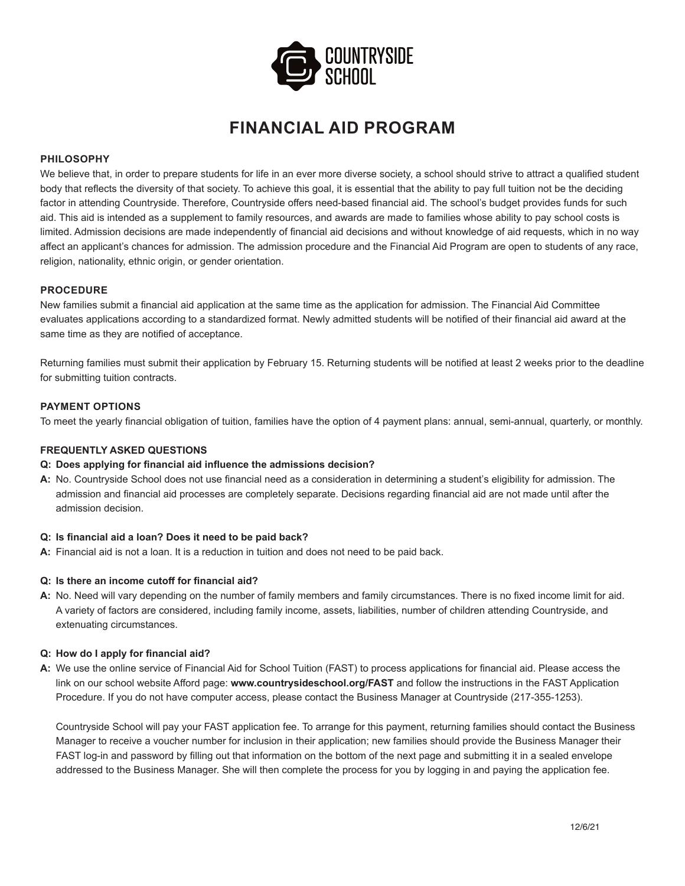

# **FINANCIAL AID PROGRAM**

# **PHILOSOPHY**

We believe that, in order to prepare students for life in an ever more diverse society, a school should strive to attract a qualified student body that reflects the diversity of that society. To achieve this goal, it is essential that the ability to pay full tuition not be the deciding factor in attending Countryside. Therefore, Countryside offers need-based financial aid. The school's budget provides funds for such aid. This aid is intended as a supplement to family resources, and awards are made to families whose ability to pay school costs is limited. Admission decisions are made independently of financial aid decisions and without knowledge of aid requests, which in no way affect an applicant's chances for admission. The admission procedure and the Financial Aid Program are open to students of any race, religion, nationality, ethnic origin, or gender orientation.

## **PROCEDURE**

New families submit a financial aid application at the same time as the application for admission. The Financial Aid Committee evaluates applications according to a standardized format. Newly admitted students will be notified of their financial aid award at the same time as they are notified of acceptance.

Returning families must submit their application by February 15. Returning students will be notified at least 2 weeks prior to the deadline for submitting tuition contracts.

# **PAYMENT OPTIONS**

To meet the yearly financial obligation of tuition, families have the option of 4 payment plans: annual, semi-annual, quarterly, or monthly.

## **FREQUENTLY ASKED QUESTIONS**

#### **Q: Does applying for financial aid influence the admissions decision?**

**A:** No. Countryside School does not use financial need as a consideration in determining a student's eligibility for admission. The admission and financial aid processes are completely separate. Decisions regarding financial aid are not made until after the admission decision.

#### **Q: Is financial aid a loan? Does it need to be paid back?**

**A:** Financial aid is not a loan. It is a reduction in tuition and does not need to be paid back.

#### **Q: Is there an income cutoff for financial aid?**

**A:** No. Need will vary depending on the number of family members and family circumstances. There is no fixed income limit for aid. A variety of factors are considered, including family income, assets, liabilities, number of children attending Countryside, and extenuating circumstances.

#### **Q: How do I apply for financial aid?**

**A:** We use the online service of Financial Aid for School Tuition (FAST) to process applications for financial aid. Please access the link on our school website Afford page: **www.countrysideschool.org/FAST** and follow the instructions in the FAST Application Procedure. If you do not have computer access, please contact the Business Manager at Countryside (217-355-1253).

Countryside School will pay your FAST application fee. To arrange for this payment, returning families should contact the Business Manager to receive a voucher number for inclusion in their application; new families should provide the Business Manager their FAST log-in and password by filling out that information on the bottom of the next page and submitting it in a sealed envelope addressed to the Business Manager. She will then complete the process for you by logging in and paying the application fee.